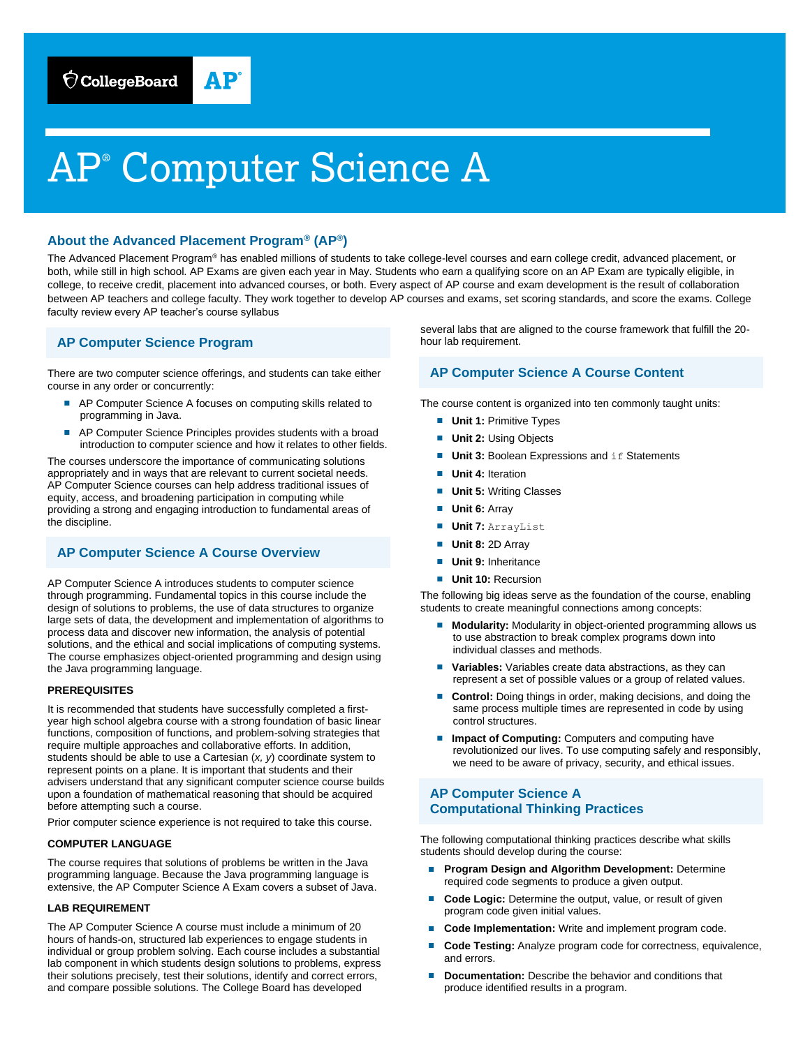# AP® Computer Science A

## **About the Advanced Placement Program® (AP®)**

The Advanced Placement Program® has enabled millions of students to take college-level courses and earn college credit, advanced placement, or both, while still in high school. AP Exams are given each year in May. Students who earn a qualifying score on an AP Exam are typically eligible, in college, to receive credit, placement into advanced courses, or both. Every aspect of AP course and exam development is the result of collaboration between AP teachers and college faculty. They work together to develop AP courses and exams, set scoring standards, and score the exams. College faculty review every AP teacher's course syllabus

# **AP Computer Science Program**

There are two computer science offerings, and students can take either course in any order or concurrently:

- AP Computer Science A focuses on computing skills related to programming in Java.
- AP Computer Science Principles provides students with a broad introduction to computer science and how it relates to other fields.

The courses underscore the importance of communicating solutions appropriately and in ways that are relevant to current societal needs. AP Computer Science courses can help address traditional issues of equity, access, and broadening participation in computing while providing a strong and engaging introduction to fundamental areas of the discipline.

# **AP Computer Science A Course Overview**

AP Computer Science A introduces students to computer science through programming. Fundamental topics in this course include the design of solutions to problems, the use of data structures to organize large sets of data, the development and implementation of algorithms to process data and discover new information, the analysis of potential solutions, and the ethical and social implications of computing systems. The course emphasizes object-oriented programming and design using the Java programming language.

#### **PREREQUISITES**

It is recommended that students have successfully completed a firstyear high school algebra course with a strong foundation of basic linear functions, composition of functions, and problem-solving strategies that require multiple approaches and collaborative efforts. In addition, students should be able to use a Cartesian (*x, y*) coordinate system to represent points on a plane. It is important that students and their advisers understand that any significant computer science course builds upon a foundation of mathematical reasoning that should be acquired before attempting such a course.

Prior computer science experience is not required to take this course.

#### **COMPUTER LANGUAGE**

The course requires that solutions of problems be written in the Java programming language. Because the Java programming language is extensive, the AP Computer Science A Exam covers a subset of Java.

#### **LAB REQUIREMENT**

The AP Computer Science A course must include a minimum of 20 hours of hands-on, structured lab experiences to engage students in individual or group problem solving. Each course includes a substantial lab component in which students design solutions to problems, express their solutions precisely, test their solutions, identify and correct errors, and compare possible solutions. The College Board has developed

several labs that are aligned to the course framework that fulfill the 20 hour lab requirement.

## **AP Computer Science A Course Content**

The course content is organized into ten commonly taught units:

- **Unit 1: Primitive Types**
- **Unit 2: Using Objects**
- **Unit 3: Boolean Expressions and if Statements**
- **Unit 4: Iteration**
- **Unit 5: Writing Classes**
- **Unit 6: Array**
- **Unit 7:** ArrayList
- **Unit 8: 2D Array**
- **Unit 9: Inheritance**
- **Unit 10: Recursion**

The following big ideas serve as the foundation of the course, enabling students to create meaningful connections among concepts:

- **Modularity:** Modularity in object-oriented programming allows us to use abstraction to break complex programs down into individual classes and methods.
- Variables: Variables create data abstractions, as they can represent a set of possible values or a group of related values.
- **Control:** Doing things in order, making decisions, and doing the same process multiple times are represented in code by using control structures.
- **Impact of Computing:** Computers and computing have revolutionized our lives. To use computing safely and responsibly, we need to be aware of privacy, security, and ethical issues.

# **AP Computer Science A Computational Thinking Practices**

The following computational thinking practices describe what skills students should develop during the course:

- **Program Design and Algorithm Development: Determine** required code segments to produce a given output.
- **Code Logic:** Determine the output, value, or result of given program code given initial values.
- **Code Implementation:** Write and implement program code.
- Code Testing: Analyze program code for correctness, equivalence, and errors.
- **Documentation:** Describe the behavior and conditions that produce identified results in a program.